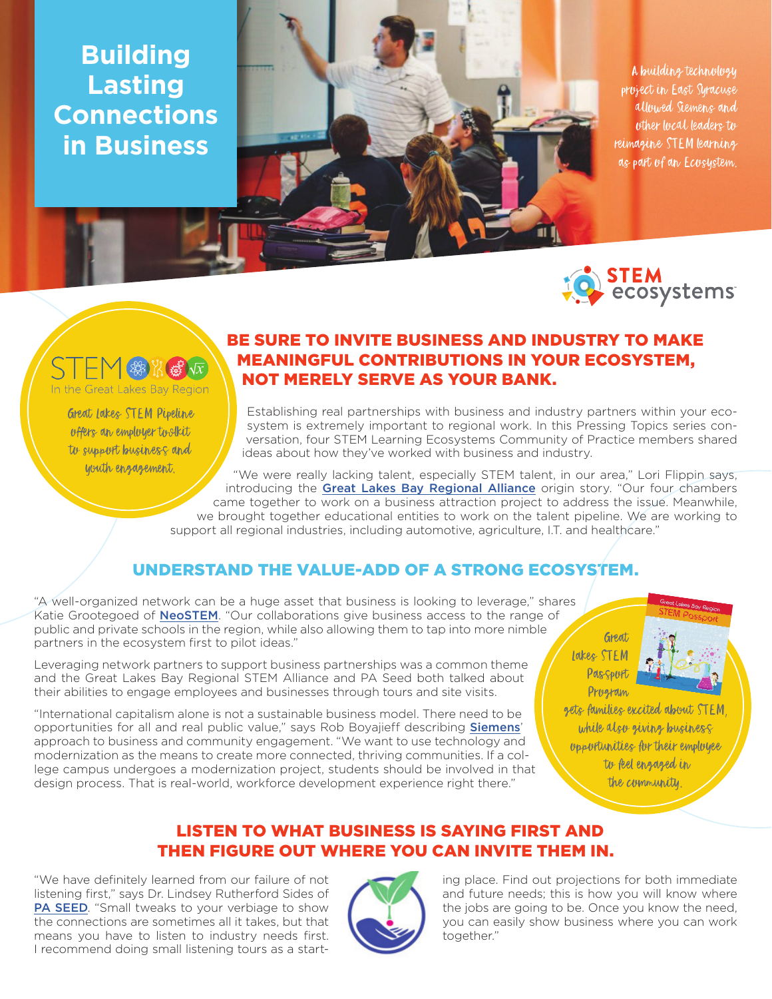**Building Lasting Connections in Business**



A building technology project in East Syracuse allowed Siemens and other local leaders to reimagine STEM learning as part of an Ecosystem.



## 娥饭

In the Great Lakes Bay Region

**Great lakes STEM Pipeline** offers an employer toolkit to support business and youth engagement.

## BE SURE TO INVITE BUSINESS AND INDUSTRY TO MAKE MEANINGFUL CONTRIBUTIONS IN YOUR ECOSYSTEM, NOT MERELY SERVE AS YOUR BANK.

Establishing real partnerships with business and industry partners within your ecosystem is extremely important to regional work. In this Pressing Topics series conversation, four STEM Learning Ecosystems Community of Practice members shared ideas about how they've worked with business and industry.

"We were really lacking talent, especially STEM talent, in our area," Lori Flippin says, introducing the [Great Lakes Bay Regional Alliance](http://greatlakesbay.com) origin story. "Our four chambers came together to work on a business attraction project to address the issue. Meanwhile, we brought together educational entities to work on the talent pipeline. We are working to support all regional industries, including automotive, agriculture, I.T. and healthcare."

## UNDERSTAND THE VALUE-ADD OF A STRONG ECOSYSTEM.

"A well-organized network can be a huge asset that business is looking to leverage," shares Katie Grootegoed of [NeoSTEM](http://www.neostem.org/). "Our collaborations give business access to the range of public and private schools in the region, while also allowing them to tap into more nimble partners in the ecosystem first to pilot ideas."

Leveraging network partners to support business partnerships was a common theme and the Great Lakes Bay Regional STEM Alliance and PA Seed both talked about their abilities to engage employees and businesses through tours and site visits.

"International capitalism alone is not a sustainable business model. There need to be opportunities for all and real public value," says Rob Boyajieff describing **[Siemens](https://new.siemens.com/us/en.html)'** approach to business and community engagement. "We want to use technology and modernization as the means to create more connected, thriving communities. If a college campus undergoes a modernization project, students should be involved in that design process. That is real-world, workforce development experience right there."

Great lakes STEM Passport Program



gets families excited about STEM while also giving business opportunities for their employee to feel engaged in the community.

### LISTEN TO WHAT BUSINESS IS SAYING FIRST AND THEN FIGURE OUT WHERE YOU CAN INVITE THEM IN.

"We have definitely learned from our failure of not listening first," says Dr. Lindsey Rutherford Sides of [PA SEED](https://www.paseed.org/). "Small tweaks to your verbiage to show the connections are sometimes all it takes, but that means you have to listen to industry needs first. I recommend doing small listening tours as a start-



ing place. Find out projections for both immediate and future needs; this is how you will know where the jobs are going to be. Once you know the need, you can easily show business where you can work together."